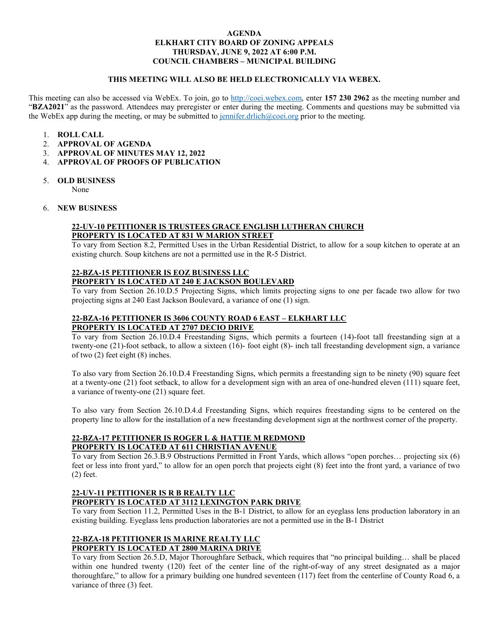### **AGENDA ELKHART CITY BOARD OF ZONING APPEALS THURSDAY, JUNE 9, 2022 AT 6:00 P.M. COUNCIL CHAMBERS – MUNICIPAL BUILDING**

### **THIS MEETING WILL ALSO BE HELD ELECTRONICALLY VIA WEBEX.**

This meeting can also be accessed via WebEx. To join, go to [http://coei.webex.com,](http://coei.webex.com/) enter **157 230 2962** as the meeting number and "**BZA2021**" as the password. Attendees may preregister or enter during the meeting. Comments and questions may be submitted via the WebEx app during the meeting, or may be submitted to [jennifer.drlich@coei.org](mailto:jennifer.drlich@coei.org) prior to the meeting.

- 1. **ROLL CALL**
- 2. **APPROVAL OF AGENDA**
- 3. **APPROVAL OF MINUTES MAY 12, 2022**
- 4. **APPROVAL OF PROOFS OF PUBLICATION**
- 5. **OLD BUSINESS**

None

6. **NEW BUSINESS**

## **22-UV-10 PETITIONER IS TRUSTEES GRACE ENGLISH LUTHERAN CHURCH PROPERTY IS LOCATED AT 831 W MARION STREET**

To vary from Section 8.2, Permitted Uses in the Urban Residential District, to allow for a soup kitchen to operate at an existing church. Soup kitchens are not a permitted use in the R-5 District.

# **22-BZA-15 PETITIONER IS EOZ BUSINESS LLC PROPERTY IS LOCATED AT 240 E JACKSON BOULEVARD**

To vary from Section 26.10.D.5 Projecting Signs, which limits projecting signs to one per facade two allow for two projecting signs at 240 East Jackson Boulevard, a variance of one (1) sign.

## **22-BZA-16 PETITIONER IS 3606 COUNTY ROAD 6 EAST – ELKHART LLC PROPERTY IS LOCATED AT 2707 DECIO DRIVE**

To vary from Section 26.10.D.4 Freestanding Signs, which permits a fourteen (14)-foot tall freestanding sign at a twenty-one (21)-foot setback, to allow a sixteen (16)- foot eight (8)- inch tall freestanding development sign, a variance of two (2) feet eight (8) inches.

To also vary from Section 26.10.D.4 Freestanding Signs, which permits a freestanding sign to be ninety (90) square feet at a twenty-one (21) foot setback, to allow for a development sign with an area of one-hundred eleven (111) square feet, a variance of twenty-one (21) square feet.

To also vary from Section 26.10.D.4.d Freestanding Signs, which requires freestanding signs to be centered on the property line to allow for the installation of a new freestanding development sign at the northwest corner of the property.

### **22-BZA-17 PETITIONER IS ROGER L & HATTIE M REDMOND PROPERTY IS LOCATED AT 611 CHRISTIAN AVENUE**

To vary from Section 26.3.B.9 Obstructions Permitted in Front Yards, which allows "open porches… projecting six (6) feet or less into front yard," to allow for an open porch that projects eight (8) feet into the front yard, a variance of two (2) feet.

#### **22-UV-11 PETITIONER IS R B REALTY LLC PROPERTY IS LOCATED AT 3112 LEXINGTON PARK DRIVE**

To vary from Section 11.2, Permitted Uses in the B-1 District, to allow for an eyeglass lens production laboratory in an existing building. Eyeglass lens production laboratories are not a permitted use in the B-1 District

### **22-BZA-18 PETITIONER IS MARINE REALTY LLC PROPERTY IS LOCATED AT 2800 MARINA DRIVE**

To vary from Section 26.5.D, Major Thoroughfare Setback, which requires that "no principal building… shall be placed within one hundred twenty (120) feet of the center line of the right-of-way of any street designated as a major thoroughfare," to allow for a primary building one hundred seventeen (117) feet from the centerline of County Road 6, a variance of three (3) feet.